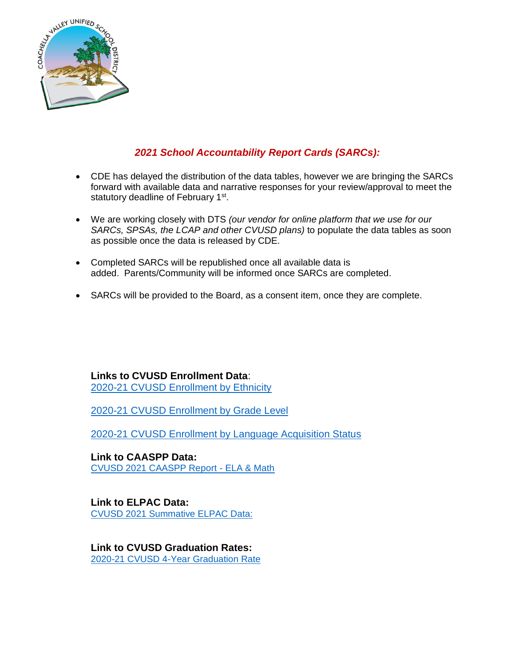

## *2021 School Accountability Report Cards (SARCs):*

- CDE has delayed the distribution of the data tables, however we are bringing the SARCs forward with available data and narrative responses for your review/approval to meet the statutory deadline of February 1<sup>st</sup>.
- We are working closely with DTS *(our vendor for online platform that we use for our SARCs, SPSAs, the LCAP and other CVUSD plans)* to populate the data tables as soon as possible once the data is released by CDE.
- Completed SARCs will be republished once all available data is added. Parents/Community will be informed once SARCs are completed.
- SARCs will be provided to the Board, as a consent item, once they are complete.

**Links to CVUSD Enrollment Data**: [2020-21 CVUSD Enrollment by Ethnicity](https://dq.cde.ca.gov/dataquest/dqcensus/EnrEthLevels.aspx?cds=3373676&agglevel=district&year=2020-21)

[2020-21 CVUSD Enrollment by Grade Level](https://dq.cde.ca.gov/dataquest/dqcensus/EnrGrdLevels.aspx?cds=3373676&agglevel=district&year=2020-21&ro=y)

[2020-21 CVUSD Enrollment by Language Acquisition Status](https://dq.cde.ca.gov/dataquest/dqcensus/EnrELASLevels.aspx?cds=3373676&agglevel=district&year=2020-21&ro=y&ro=y&ro=y)

**Link to CAASPP Data:** [CVUSD 2021 CAASPP Report -](https://caaspp-elpac.cde.ca.gov/caaspp/DashViewReportSB?ps=true&lstTestYear=2021&lstTestType=B&lstGroup=1&lstSubGroup=1&lstGrade=13&lstSchoolType=A&lstCounty=33&lstDistrict=73676-000&lstSchool=0000000) ELA & Math

**Link to ELPAC Data:** [CVUSD 2021 Summative ELPAC Data:](https://caaspp-elpac.cde.ca.gov/elpac/DashViewReportSA?ps=true&lstTestYear=2021&lstTestType=SA&lstGroup=1&lstSubGroup=001&lstGrade=13&lstSchoolType=A&lstCounty=33&lstDistrict=73676-000&lstSchool=0000000)

**Link to CVUSD Graduation Rates:** [2020-21 CVUSD 4-Year Graduation Rate](https://dq.cde.ca.gov/dataquest/dqcensus/CohRateLevels.aspx?agglevel=district&year=2020-21&cds=3373676)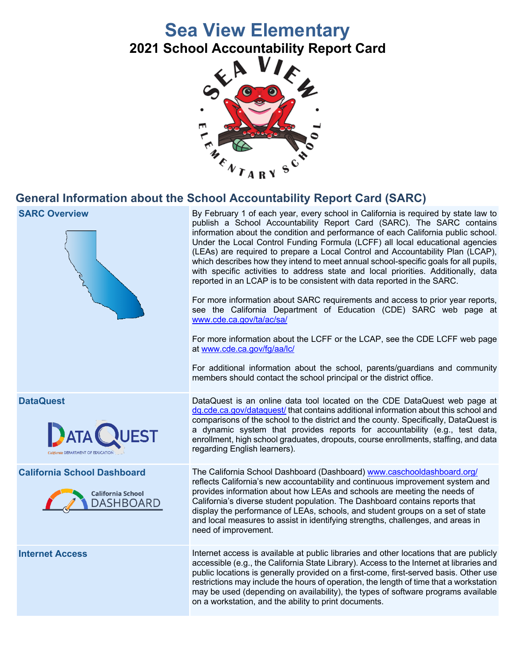# **Sea View Elementary**

**2021 School Accountability Report Card**



## **General Information about the School Accountability Report Card (SARC)**







**SARC Overview** By February 1 of each year, every school in California is required by state law to publish a School Accountability Report Card (SARC). The SARC contains information about the condition and performance of each California public school. Under the Local Control Funding Formula (LCFF) all local educational agencies (LEAs) are required to prepare a Local Control and Accountability Plan (LCAP), which describes how they intend to meet annual school-specific goals for all pupils, with specific activities to address state and local priorities. Additionally, data reported in an LCAP is to be consistent with data reported in the SARC.

> For more information about SARC requirements and access to prior year reports, see the California Department of Education (CDE) SARC web page at www.cde.ca.gov/ta/ac/sa/

> For more information about the LCFF or the LCAP, see the CDE LCFF web page at www.cde.ca.gov/fg/aa/lc/

> For additional information about the school, parents/guardians and community members should contact the school principal or the district office.

**DataQuest** DataQuest is an online data tool located on the CDE DataQuest web page at dq.cde.ca.gov/dataquest/ that contains additional information about this school and comparisons of the school to the district and the county. Specifically, DataQuest is a dynamic system that provides reports for accountability (e.g., test data, enrollment, high school graduates, dropouts, course enrollments, staffing, and data regarding English learners).

**California School Dashboard** The California School Dashboard (Dashboard) www.caschooldashboard.org/ reflects California's new accountability and continuous improvement system and provides information about how LEAs and schools are meeting the needs of California's diverse student population. The Dashboard contains reports that display the performance of LEAs, schools, and student groups on a set of state and local measures to assist in identifying strengths, challenges, and areas in need of improvement.

**Internet Access** Internet access is available at public libraries and other locations that are publicly accessible (e.g., the California State Library). Access to the Internet at libraries and public locations is generally provided on a first-come, first-served basis. Other use restrictions may include the hours of operation, the length of time that a workstation may be used (depending on availability), the types of software programs available on a workstation, and the ability to print documents.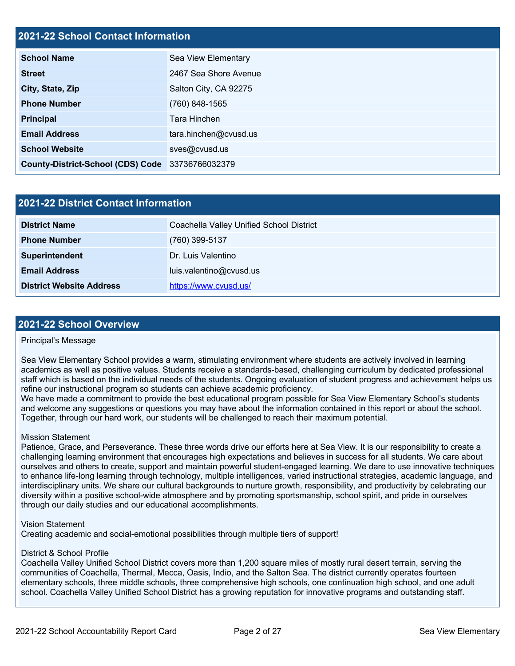| <b>2021-22 School Contact Information</b> |                       |  |  |  |
|-------------------------------------------|-----------------------|--|--|--|
| <b>School Name</b>                        | Sea View Elementary   |  |  |  |
| <b>Street</b>                             | 2467 Sea Shore Avenue |  |  |  |
| City, State, Zip                          | Salton City, CA 92275 |  |  |  |
| <b>Phone Number</b>                       | (760) 848-1565        |  |  |  |
| <b>Principal</b>                          | Tara Hinchen          |  |  |  |
| <b>Email Address</b>                      | tara.hinchen@cvusd.us |  |  |  |
| <b>School Website</b>                     | sves@cvusd.us         |  |  |  |
| <b>County-District-School (CDS) Code</b>  | 33736766032379        |  |  |  |

| <b>2021-22 District Contact Information</b> |                                          |  |  |  |  |
|---------------------------------------------|------------------------------------------|--|--|--|--|
| <b>District Name</b>                        | Coachella Valley Unified School District |  |  |  |  |
| <b>Phone Number</b>                         | (760) 399-5137                           |  |  |  |  |
| Superintendent                              | Dr. Luis Valentino                       |  |  |  |  |
| <b>Email Address</b>                        | luis.valentino@cvusd.us                  |  |  |  |  |
| <b>District Website Address</b>             | https://www.cvusd.us/                    |  |  |  |  |

### **2021-22 School Overview**

### Principal's Message

Sea View Elementary School provides a warm, stimulating environment where students are actively involved in learning academics as well as positive values. Students receive a standards-based, challenging curriculum by dedicated professional staff which is based on the individual needs of the students. Ongoing evaluation of student progress and achievement helps us refine our instructional program so students can achieve academic proficiency.

We have made a commitment to provide the best educational program possible for Sea View Elementary School's students and welcome any suggestions or questions you may have about the information contained in this report or about the school. Together, through our hard work, our students will be challenged to reach their maximum potential.

### Mission Statement

Patience, Grace, and Perseverance. These three words drive our efforts here at Sea View. It is our responsibility to create a challenging learning environment that encourages high expectations and believes in success for all students. We care about ourselves and others to create, support and maintain powerful student-engaged learning. We dare to use innovative techniques to enhance life-long learning through technology, multiple intelligences, varied instructional strategies, academic language, and interdisciplinary units. We share our cultural backgrounds to nurture growth, responsibility, and productivity by celebrating our diversity within a positive school-wide atmosphere and by promoting sportsmanship, school spirit, and pride in ourselves through our daily studies and our educational accomplishments.

Vision Statement

Creating academic and social-emotional possibilities through multiple tiers of support!

### District & School Profile

Coachella Valley Unified School District covers more than 1,200 square miles of mostly rural desert terrain, serving the communities of Coachella, Thermal, Mecca, Oasis, Indio, and the Salton Sea. The district currently operates fourteen elementary schools, three middle schools, three comprehensive high schools, one continuation high school, and one adult school. Coachella Valley Unified School District has a growing reputation for innovative programs and outstanding staff.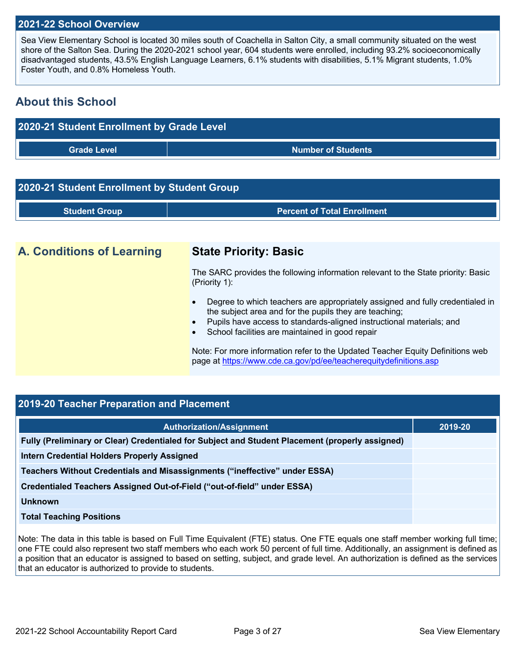### **2021-22 School Overview**

Sea View Elementary School is located 30 miles south of Coachella in Salton City, a small community situated on the west shore of the Salton Sea. During the 2020-2021 school year, 604 students were enrolled, including 93.2% socioeconomically disadvantaged students, 43.5% English Language Learners, 6.1% students with disabilities, 5.1% Migrant students, 1.0% Foster Youth, and 0.8% Homeless Youth.

## **About this School**



# **2020-21 Student Enrollment by Student Group Student Group Percent of Total Enrollment**

## **A. Conditions of Learning State Priority: Basic**

The SARC provides the following information relevant to the State priority: Basic (Priority 1):

- Degree to which teachers are appropriately assigned and fully credentialed in the subject area and for the pupils they are teaching;
- Pupils have access to standards-aligned instructional materials; and
- School facilities are maintained in good repair

Note: For more information refer to the Updated Teacher Equity Definitions web page at https://www.cde.ca.gov/pd/ee/teacherequitydefinitions.asp

| 2019-20 Teacher Preparation and Placement                                                       |         |
|-------------------------------------------------------------------------------------------------|---------|
| <b>Authorization/Assignment</b>                                                                 | 2019-20 |
| Fully (Preliminary or Clear) Credentialed for Subject and Student Placement (properly assigned) |         |
| <b>Intern Credential Holders Properly Assigned</b>                                              |         |
| Teachers Without Credentials and Misassignments ("ineffective" under ESSA)                      |         |
| Credentialed Teachers Assigned Out-of-Field ("out-of-field" under ESSA)                         |         |
| Unknown                                                                                         |         |
| <b>Total Teaching Positions</b>                                                                 |         |
|                                                                                                 |         |

Note: The data in this table is based on Full Time Equivalent (FTE) status. One FTE equals one staff member working full time; one FTE could also represent two staff members who each work 50 percent of full time. Additionally, an assignment is defined as a position that an educator is assigned to based on setting, subject, and grade level. An authorization is defined as the services that an educator is authorized to provide to students.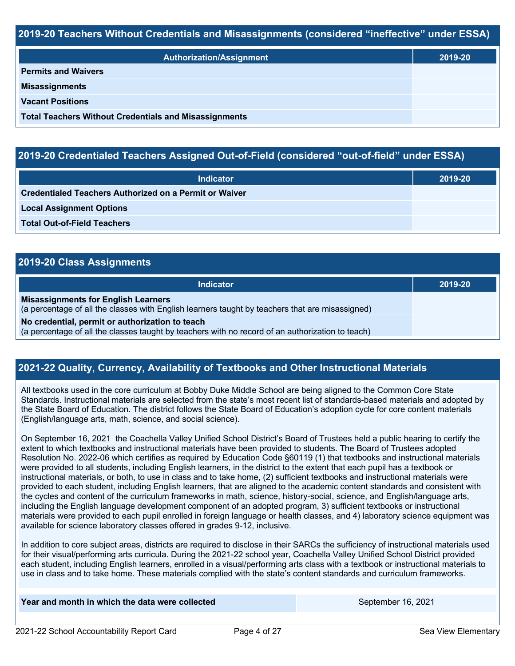### **2019-20 Teachers Without Credentials and Misassignments (considered "ineffective" under ESSA)**

| <b>Authorization/Assignment</b>                              | 2019-20 |
|--------------------------------------------------------------|---------|
| <b>Permits and Waivers</b>                                   |         |
| <b>Misassignments</b>                                        |         |
| <b>Vacant Positions</b>                                      |         |
| <b>Total Teachers Without Credentials and Misassignments</b> |         |

### **2019-20 Credentialed Teachers Assigned Out-of-Field (considered "out-of-field" under ESSA)**

| <b>Indicator</b>                                              | 2019-20 |
|---------------------------------------------------------------|---------|
| <b>Credentialed Teachers Authorized on a Permit or Waiver</b> |         |
| <b>Local Assignment Options</b>                               |         |
| <b>Total Out-of-Field Teachers</b>                            |         |

| 2019-20 Class Assignments                                                                                                                           |         |
|-----------------------------------------------------------------------------------------------------------------------------------------------------|---------|
| Indicator                                                                                                                                           | 2019-20 |
| <b>Misassignments for English Learners</b><br>(a percentage of all the classes with English learners taught by teachers that are misassigned)       |         |
| No credential, permit or authorization to teach<br>(a percentage of all the classes taught by teachers with no record of an authorization to teach) |         |

### **2021-22 Quality, Currency, Availability of Textbooks and Other Instructional Materials**

All textbooks used in the core curriculum at Bobby Duke Middle School are being aligned to the Common Core State Standards. Instructional materials are selected from the state's most recent list of standards-based materials and adopted by the State Board of Education. The district follows the State Board of Education's adoption cycle for core content materials (English/language arts, math, science, and social science).

On September 16, 2021 the Coachella Valley Unified School District's Board of Trustees held a public hearing to certify the extent to which textbooks and instructional materials have been provided to students. The Board of Trustees adopted Resolution No. 2022-06 which certifies as required by Education Code §60119 (1) that textbooks and instructional materials were provided to all students, including English learners, in the district to the extent that each pupil has a textbook or instructional materials, or both, to use in class and to take home, (2) sufficient textbooks and instructional materials were provided to each student, including English learners, that are aligned to the academic content standards and consistent with the cycles and content of the curriculum frameworks in math, science, history-social, science, and English/language arts, including the English language development component of an adopted program, 3) sufficient textbooks or instructional materials were provided to each pupil enrolled in foreign language or health classes, and 4) laboratory science equipment was available for science laboratory classes offered in grades 9-12, inclusive.

In addition to core subject areas, districts are required to disclose in their SARCs the sufficiency of instructional materials used for their visual/performing arts curricula. During the 2021-22 school year, Coachella Valley Unified School District provided each student, including English learners, enrolled in a visual/performing arts class with a textbook or instructional materials to use in class and to take home. These materials complied with the state's content standards and curriculum frameworks.

### **Year and month in which the data were collected September 16, 2021** September 16, 2021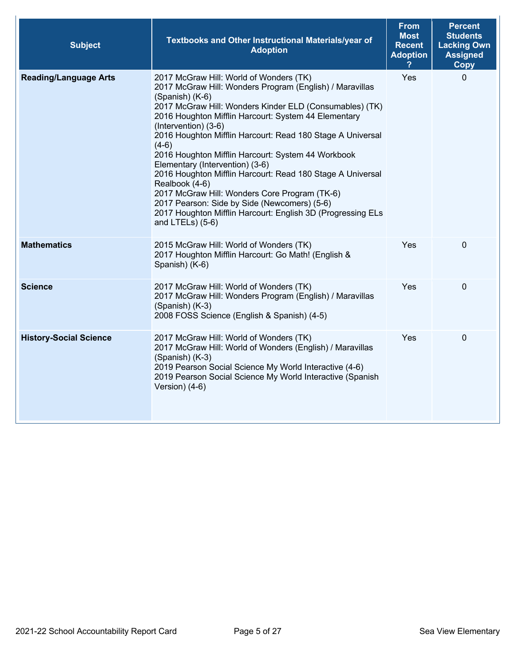| <b>Subject</b>                | Textbooks and Other Instructional Materials/year of<br><b>Adoption</b>                                                                                                                                                                                                                                                                                                                                                                                                                                                                                                                                                                                                                                     | <b>From</b><br><b>Most</b><br><b>Recent</b><br><b>Adoption</b> | <b>Percent</b><br><b>Students</b><br><b>Lacking Own</b><br><b>Assigned</b><br><b>Copy</b> |
|-------------------------------|------------------------------------------------------------------------------------------------------------------------------------------------------------------------------------------------------------------------------------------------------------------------------------------------------------------------------------------------------------------------------------------------------------------------------------------------------------------------------------------------------------------------------------------------------------------------------------------------------------------------------------------------------------------------------------------------------------|----------------------------------------------------------------|-------------------------------------------------------------------------------------------|
| <b>Reading/Language Arts</b>  | 2017 McGraw Hill: World of Wonders (TK)<br>2017 McGraw Hill: Wonders Program (English) / Maravillas<br>(Spanish) (K-6)<br>2017 McGraw Hill: Wonders Kinder ELD (Consumables) (TK)<br>2016 Houghton Mifflin Harcourt: System 44 Elementary<br>(Intervention) (3-6)<br>2016 Houghton Mifflin Harcourt: Read 180 Stage A Universal<br>$(4-6)$<br>2016 Houghton Mifflin Harcourt: System 44 Workbook<br>Elementary (Intervention) (3-6)<br>2016 Houghton Mifflin Harcourt: Read 180 Stage A Universal<br>Realbook (4-6)<br>2017 McGraw Hill: Wonders Core Program (TK-6)<br>2017 Pearson: Side by Side (Newcomers) (5-6)<br>2017 Houghton Mifflin Harcourt: English 3D (Progressing ELs<br>and $LTELs$ ) (5-6) | Yes                                                            | $\Omega$                                                                                  |
| <b>Mathematics</b>            | 2015 McGraw Hill: World of Wonders (TK)<br>2017 Houghton Mifflin Harcourt: Go Math! (English &<br>Spanish) (K-6)                                                                                                                                                                                                                                                                                                                                                                                                                                                                                                                                                                                           | Yes                                                            | $\mathbf 0$                                                                               |
| <b>Science</b>                | 2017 McGraw Hill: World of Wonders (TK)<br>2017 McGraw Hill: Wonders Program (English) / Maravillas<br>(Spanish) (K-3)<br>2008 FOSS Science (English & Spanish) (4-5)                                                                                                                                                                                                                                                                                                                                                                                                                                                                                                                                      | Yes                                                            | $\mathbf 0$                                                                               |
| <b>History-Social Science</b> | 2017 McGraw Hill: World of Wonders (TK)<br>2017 McGraw Hill: World of Wonders (English) / Maravillas<br>(Spanish) (K-3)<br>2019 Pearson Social Science My World Interactive (4-6)<br>2019 Pearson Social Science My World Interactive (Spanish<br>Version) (4-6)                                                                                                                                                                                                                                                                                                                                                                                                                                           | Yes                                                            | $\mathbf 0$                                                                               |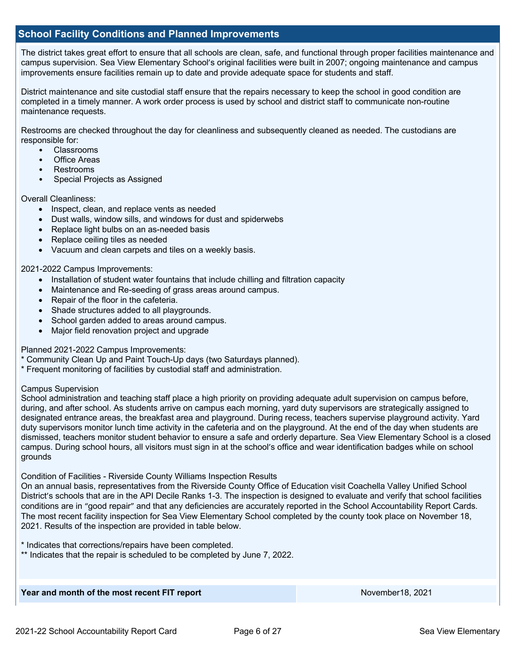### **School Facility Conditions and Planned Improvements**

The district takes great effort to ensure that all schools are clean, safe, and functional through proper facilities maintenance and campus supervision. Sea View Elementary School's original facilities were built in 2007; ongoing maintenance and campus improvements ensure facilities remain up to date and provide adequate space for students and staff.

District maintenance and site custodial staff ensure that the repairs necessary to keep the school in good condition are completed in a timely manner. A work order process is used by school and district staff to communicate non-routine maintenance requests.

Restrooms are checked throughout the day for cleanliness and subsequently cleaned as needed. The custodians are responsible for:

- Classrooms
- Office Areas
- Restrooms
- Special Projects as Assigned

### Overall Cleanliness:

- Inspect, clean, and replace vents as needed
- Dust walls, window sills, and windows for dust and spiderwebs
- Replace light bulbs on an as-needed basis
- Replace ceiling tiles as needed
- Vacuum and clean carpets and tiles on a weekly basis.

### 2021-2022 Campus Improvements:

- Installation of student water fountains that include chilling and filtration capacity
- Maintenance and Re-seeding of grass areas around campus.
- Repair of the floor in the cafeteria.
- Shade structures added to all playgrounds.
- School garden added to areas around campus.
- Major field renovation project and upgrade

Planned 2021-2022 Campus Improvements:

- \* Community Clean Up and Paint Touch-Up days (two Saturdays planned).
- \* Frequent monitoring of facilities by custodial staff and administration.

### Campus Supervision

School administration and teaching staff place a high priority on providing adequate adult supervision on campus before, during, and after school. As students arrive on campus each morning, yard duty supervisors are strategically assigned to designated entrance areas, the breakfast area and playground. During recess, teachers supervise playground activity. Yard duty supervisors monitor lunch time activity in the cafeteria and on the playground. At the end of the day when students are dismissed, teachers monitor student behavior to ensure a safe and orderly departure. Sea View Elementary School is a closed campus. During school hours, all visitors must sign in at the school's office and wear identification badges while on school grounds

Condition of Facilities - Riverside County Williams Inspection Results

On an annual basis, representatives from the Riverside County Office of Education visit Coachella Valley Unified School District's schools that are in the API Decile Ranks 1-3. The inspection is designed to evaluate and verify that school facilities conditions are in "good repair" and that any deficiencies are accurately reported in the School Accountability Report Cards. The most recent facility inspection for Sea View Elementary School completed by the county took place on November 18, 2021. Results of the inspection are provided in table below.

\* Indicates that corrections/repairs have been completed.

\*\* Indicates that the repair is scheduled to be completed by June 7, 2022.

### **Year and month of the most recent FIT report** November 18, 2021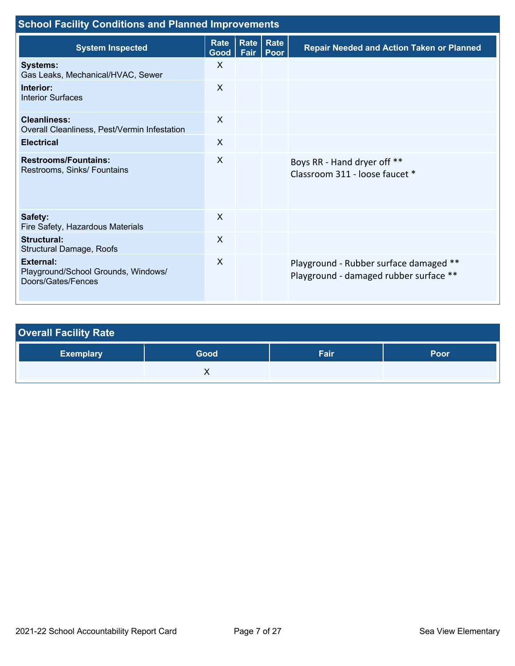| <b>School Facility Conditions and Planned Improvements</b>                    |                           |                           |              |                                                                                  |  |  |  |
|-------------------------------------------------------------------------------|---------------------------|---------------------------|--------------|----------------------------------------------------------------------------------|--|--|--|
| <b>System Inspected</b>                                                       | <b>Rate</b><br>Good       | Rate <sub>1</sub><br>Fair | Rate<br>Poor | <b>Repair Needed and Action Taken or Planned</b>                                 |  |  |  |
| <b>Systems:</b><br>Gas Leaks, Mechanical/HVAC, Sewer                          | $\mathsf{X}$              |                           |              |                                                                                  |  |  |  |
| Interior:<br><b>Interior Surfaces</b>                                         | $\sf X$                   |                           |              |                                                                                  |  |  |  |
| <b>Cleanliness:</b><br>Overall Cleanliness, Pest/Vermin Infestation           | $\sf X$                   |                           |              |                                                                                  |  |  |  |
| <b>Electrical</b>                                                             | $\sf X$                   |                           |              |                                                                                  |  |  |  |
| <b>Restrooms/Fountains:</b><br>Restrooms, Sinks/ Fountains                    | $\sf X$                   |                           |              | Boys RR - Hand dryer off **<br>Classroom 311 - loose faucet *                    |  |  |  |
| Safety:<br>Fire Safety, Hazardous Materials                                   | $\sf X$                   |                           |              |                                                                                  |  |  |  |
| <b>Structural:</b><br>Structural Damage, Roofs                                | X                         |                           |              |                                                                                  |  |  |  |
| <b>External:</b><br>Playground/School Grounds, Windows/<br>Doors/Gates/Fences | $\boldsymbol{\mathsf{X}}$ |                           |              | Playground - Rubber surface damaged **<br>Playground - damaged rubber surface ** |  |  |  |

| <b>Overall Facility Rate</b> |      |      |      |
|------------------------------|------|------|------|
| <b>Exemplary</b>             | Good | Fair | Poor |
|                              |      |      |      |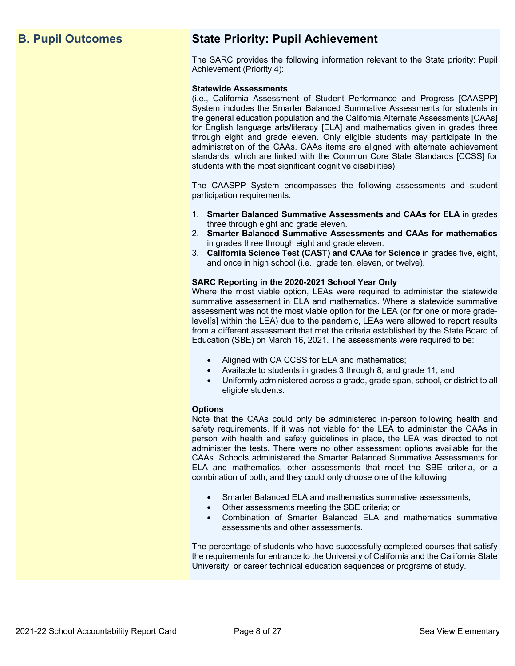## **B. Pupil Outcomes State Priority: Pupil Achievement**

The SARC provides the following information relevant to the State priority: Pupil Achievement (Priority 4):

### **Statewide Assessments**

(i.e., California Assessment of Student Performance and Progress [CAASPP] System includes the Smarter Balanced Summative Assessments for students in the general education population and the California Alternate Assessments [CAAs] for English language arts/literacy [ELA] and mathematics given in grades three through eight and grade eleven. Only eligible students may participate in the administration of the CAAs. CAAs items are aligned with alternate achievement standards, which are linked with the Common Core State Standards [CCSS] for students with the most significant cognitive disabilities).

The CAASPP System encompasses the following assessments and student participation requirements:

- 1. **Smarter Balanced Summative Assessments and CAAs for ELA** in grades three through eight and grade eleven.
- 2. **Smarter Balanced Summative Assessments and CAAs for mathematics** in grades three through eight and grade eleven.
- 3. **California Science Test (CAST) and CAAs for Science** in grades five, eight, and once in high school (i.e., grade ten, eleven, or twelve).

### **SARC Reporting in the 2020-2021 School Year Only**

Where the most viable option, LEAs were required to administer the statewide summative assessment in ELA and mathematics. Where a statewide summative assessment was not the most viable option for the LEA (or for one or more gradelevel[s] within the LEA) due to the pandemic, LEAs were allowed to report results from a different assessment that met the criteria established by the State Board of Education (SBE) on March 16, 2021. The assessments were required to be:

- Aligned with CA CCSS for ELA and mathematics;
- Available to students in grades 3 through 8, and grade 11; and
- Uniformly administered across a grade, grade span, school, or district to all eligible students.

### **Options**

Note that the CAAs could only be administered in-person following health and safety requirements. If it was not viable for the LEA to administer the CAAs in person with health and safety guidelines in place, the LEA was directed to not administer the tests. There were no other assessment options available for the CAAs. Schools administered the Smarter Balanced Summative Assessments for ELA and mathematics, other assessments that meet the SBE criteria, or a combination of both, and they could only choose one of the following:

- Smarter Balanced ELA and mathematics summative assessments;
- Other assessments meeting the SBE criteria; or
- Combination of Smarter Balanced ELA and mathematics summative assessments and other assessments.

The percentage of students who have successfully completed courses that satisfy the requirements for entrance to the University of California and the California State University, or career technical education sequences or programs of study.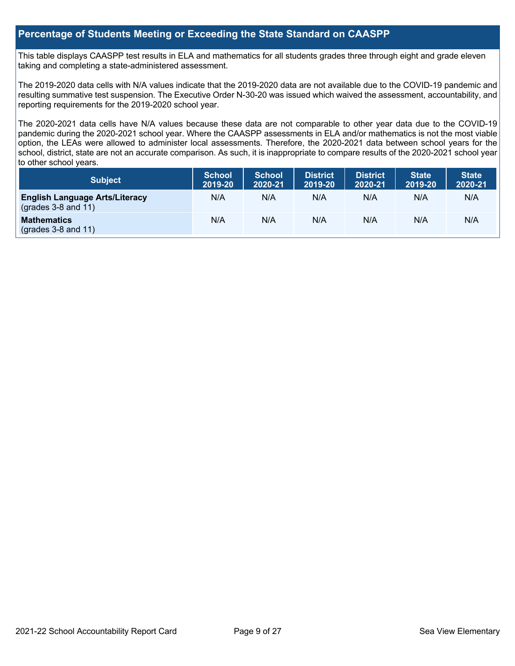### **Percentage of Students Meeting or Exceeding the State Standard on CAASPP**

This table displays CAASPP test results in ELA and mathematics for all students grades three through eight and grade eleven taking and completing a state-administered assessment.

The 2019-2020 data cells with N/A values indicate that the 2019-2020 data are not available due to the COVID-19 pandemic and resulting summative test suspension. The Executive Order N-30-20 was issued which waived the assessment, accountability, and reporting requirements for the 2019-2020 school year.

The 2020-2021 data cells have N/A values because these data are not comparable to other year data due to the COVID-19 pandemic during the 2020-2021 school year. Where the CAASPP assessments in ELA and/or mathematics is not the most viable option, the LEAs were allowed to administer local assessments. Therefore, the 2020-2021 data between school years for the school, district, state are not an accurate comparison. As such, it is inappropriate to compare results of the 2020-2021 school year to other school years.

| <b>Subject</b>                                                       | <b>School</b><br>2019-20 | <b>School</b><br>2020-21 | <b>District</b><br>2019-20 | <b>District</b><br>2020-21 | <b>State</b><br>2019-20 | <b>State</b><br>2020-21 |
|----------------------------------------------------------------------|--------------------------|--------------------------|----------------------------|----------------------------|-------------------------|-------------------------|
| <b>English Language Arts/Literacy</b><br>$\left($ grades 3-8 and 11) | N/A                      | N/A                      | N/A                        | N/A                        | N/A                     | N/A                     |
| <b>Mathematics</b><br>$(grades 3-8 and 11)$                          | N/A                      | N/A                      | N/A                        | N/A                        | N/A                     | N/A                     |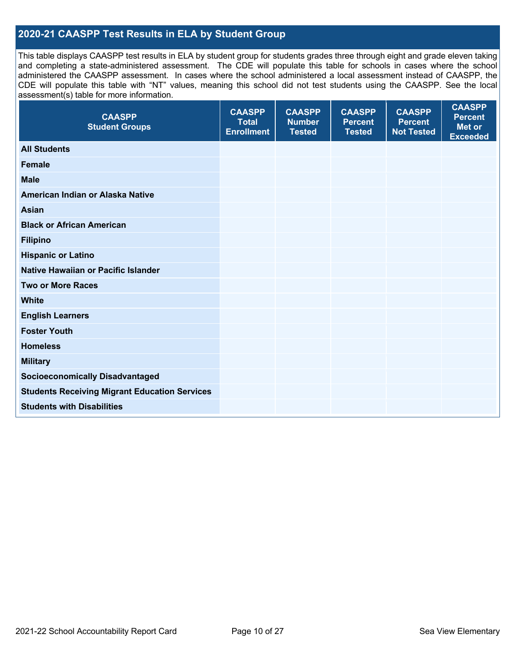## **2020-21 CAASPP Test Results in ELA by Student Group**

This table displays CAASPP test results in ELA by student group for students grades three through eight and grade eleven taking and completing a state-administered assessment. The CDE will populate this table for schools in cases where the school administered the CAASPP assessment. In cases where the school administered a local assessment instead of CAASPP, the CDE will populate this table with "NT" values, meaning this school did not test students using the CAASPP. See the local assessment(s) table for more information.

| <b>CAASPP</b><br><b>Student Groups</b>               | <b>CAASPP</b><br><b>Total</b><br><b>Enrollment</b> | <b>CAASPP</b><br><b>Number</b><br><b>Tested</b> | <b>CAASPP</b><br><b>Percent</b><br><b>Tested</b> | <b>CAASPP</b><br><b>Percent</b><br><b>Not Tested</b> | <b>CAASPP</b><br><b>Percent</b><br><b>Met or</b><br><b>Exceeded</b> |
|------------------------------------------------------|----------------------------------------------------|-------------------------------------------------|--------------------------------------------------|------------------------------------------------------|---------------------------------------------------------------------|
| <b>All Students</b>                                  |                                                    |                                                 |                                                  |                                                      |                                                                     |
| <b>Female</b>                                        |                                                    |                                                 |                                                  |                                                      |                                                                     |
| <b>Male</b>                                          |                                                    |                                                 |                                                  |                                                      |                                                                     |
| American Indian or Alaska Native                     |                                                    |                                                 |                                                  |                                                      |                                                                     |
| <b>Asian</b>                                         |                                                    |                                                 |                                                  |                                                      |                                                                     |
| <b>Black or African American</b>                     |                                                    |                                                 |                                                  |                                                      |                                                                     |
| <b>Filipino</b>                                      |                                                    |                                                 |                                                  |                                                      |                                                                     |
| <b>Hispanic or Latino</b>                            |                                                    |                                                 |                                                  |                                                      |                                                                     |
| Native Hawaiian or Pacific Islander                  |                                                    |                                                 |                                                  |                                                      |                                                                     |
| <b>Two or More Races</b>                             |                                                    |                                                 |                                                  |                                                      |                                                                     |
| <b>White</b>                                         |                                                    |                                                 |                                                  |                                                      |                                                                     |
| <b>English Learners</b>                              |                                                    |                                                 |                                                  |                                                      |                                                                     |
| <b>Foster Youth</b>                                  |                                                    |                                                 |                                                  |                                                      |                                                                     |
| <b>Homeless</b>                                      |                                                    |                                                 |                                                  |                                                      |                                                                     |
| <b>Military</b>                                      |                                                    |                                                 |                                                  |                                                      |                                                                     |
| <b>Socioeconomically Disadvantaged</b>               |                                                    |                                                 |                                                  |                                                      |                                                                     |
| <b>Students Receiving Migrant Education Services</b> |                                                    |                                                 |                                                  |                                                      |                                                                     |
| <b>Students with Disabilities</b>                    |                                                    |                                                 |                                                  |                                                      |                                                                     |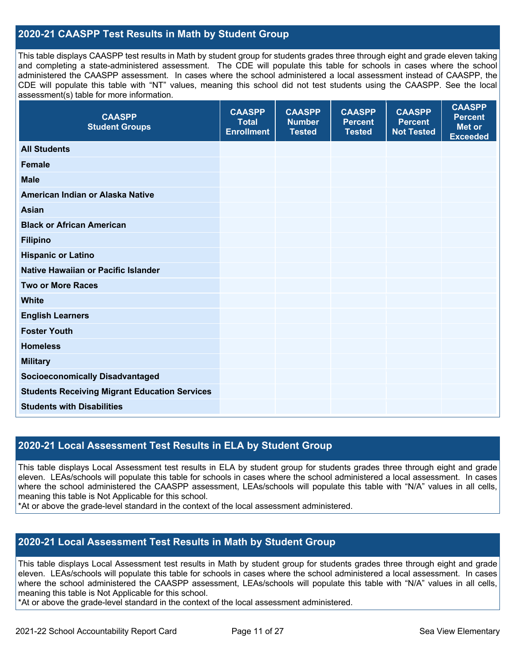### **2020-21 CAASPP Test Results in Math by Student Group**

This table displays CAASPP test results in Math by student group for students grades three through eight and grade eleven taking and completing a state-administered assessment. The CDE will populate this table for schools in cases where the school administered the CAASPP assessment. In cases where the school administered a local assessment instead of CAASPP, the CDE will populate this table with "NT" values, meaning this school did not test students using the CAASPP. See the local assessment(s) table for more information.

| <b>CAASPP</b><br><b>Student Groups</b>               | <b>CAASPP</b><br><b>Total</b><br><b>Enrollment</b> | <b>CAASPP</b><br><b>Number</b><br><b>Tested</b> | <b>CAASPP</b><br><b>Percent</b><br><b>Tested</b> | <b>CAASPP</b><br><b>Percent</b><br><b>Not Tested</b> | <b>CAASPP</b><br><b>Percent</b><br><b>Met or</b><br><b>Exceeded</b> |
|------------------------------------------------------|----------------------------------------------------|-------------------------------------------------|--------------------------------------------------|------------------------------------------------------|---------------------------------------------------------------------|
| <b>All Students</b>                                  |                                                    |                                                 |                                                  |                                                      |                                                                     |
| <b>Female</b>                                        |                                                    |                                                 |                                                  |                                                      |                                                                     |
| <b>Male</b>                                          |                                                    |                                                 |                                                  |                                                      |                                                                     |
| American Indian or Alaska Native                     |                                                    |                                                 |                                                  |                                                      |                                                                     |
| <b>Asian</b>                                         |                                                    |                                                 |                                                  |                                                      |                                                                     |
| <b>Black or African American</b>                     |                                                    |                                                 |                                                  |                                                      |                                                                     |
| <b>Filipino</b>                                      |                                                    |                                                 |                                                  |                                                      |                                                                     |
| <b>Hispanic or Latino</b>                            |                                                    |                                                 |                                                  |                                                      |                                                                     |
| Native Hawaiian or Pacific Islander                  |                                                    |                                                 |                                                  |                                                      |                                                                     |
| <b>Two or More Races</b>                             |                                                    |                                                 |                                                  |                                                      |                                                                     |
| <b>White</b>                                         |                                                    |                                                 |                                                  |                                                      |                                                                     |
| <b>English Learners</b>                              |                                                    |                                                 |                                                  |                                                      |                                                                     |
| <b>Foster Youth</b>                                  |                                                    |                                                 |                                                  |                                                      |                                                                     |
| <b>Homeless</b>                                      |                                                    |                                                 |                                                  |                                                      |                                                                     |
| <b>Military</b>                                      |                                                    |                                                 |                                                  |                                                      |                                                                     |
| <b>Socioeconomically Disadvantaged</b>               |                                                    |                                                 |                                                  |                                                      |                                                                     |
| <b>Students Receiving Migrant Education Services</b> |                                                    |                                                 |                                                  |                                                      |                                                                     |
| <b>Students with Disabilities</b>                    |                                                    |                                                 |                                                  |                                                      |                                                                     |

### **2020-21 Local Assessment Test Results in ELA by Student Group**

This table displays Local Assessment test results in ELA by student group for students grades three through eight and grade eleven. LEAs/schools will populate this table for schools in cases where the school administered a local assessment. In cases where the school administered the CAASPP assessment, LEAs/schools will populate this table with "N/A" values in all cells, meaning this table is Not Applicable for this school.

\*At or above the grade-level standard in the context of the local assessment administered.

### **2020-21 Local Assessment Test Results in Math by Student Group**

This table displays Local Assessment test results in Math by student group for students grades three through eight and grade eleven. LEAs/schools will populate this table for schools in cases where the school administered a local assessment. In cases where the school administered the CAASPP assessment, LEAs/schools will populate this table with "N/A" values in all cells, meaning this table is Not Applicable for this school.

\*At or above the grade-level standard in the context of the local assessment administered.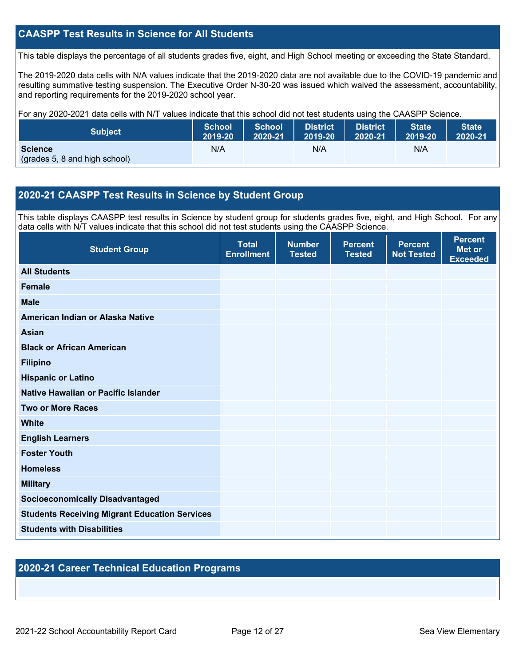## **CAASPP Test Results in Science for All Students**

This table displays the percentage of all students grades five, eight, and High School meeting or exceeding the State Standard.

The 2019-2020 data cells with N/A values indicate that the 2019-2020 data are not available due to the COVID-19 pandemic and resulting summative testing suspension. The Executive Order N-30-20 was issued which waived the assessment, accountability, and reporting requirements for the 2019-2020 school year.

For any 2020-2021 data cells with N/T values indicate that this school did not test students using the CAASPP Science.

| <b>Subject</b>                                  | School  | School  | <b>District</b> | <b>District</b> | <b>State</b> | <b>State</b> |
|-------------------------------------------------|---------|---------|-----------------|-----------------|--------------|--------------|
|                                                 | 2019-20 | 2020-21 | 2019-20         | 2020-21         | 2019-20      | 2020-21      |
| <b>Science</b><br>(grades 5, 8 and high school) | N/A     |         | N/A             |                 | N/A          |              |

### **2020-21 CAASPP Test Results in Science by Student Group**

This table displays CAASPP test results in Science by student group for students grades five, eight, and High School. For any data cells with N/T values indicate that this school did not test students using the CAASPP Science.

| <b>Student Group</b>                                 | <b>Total</b><br><b>Enrollment</b> | <b>Number</b><br><b>Tested</b> | <b>Percent</b><br><b>Tested</b> | <b>Percent</b><br><b>Not Tested</b> | <b>Percent</b><br><b>Met or</b><br><b>Exceeded</b> |
|------------------------------------------------------|-----------------------------------|--------------------------------|---------------------------------|-------------------------------------|----------------------------------------------------|
| <b>All Students</b>                                  |                                   |                                |                                 |                                     |                                                    |
| Female                                               |                                   |                                |                                 |                                     |                                                    |
| <b>Male</b>                                          |                                   |                                |                                 |                                     |                                                    |
| American Indian or Alaska Native                     |                                   |                                |                                 |                                     |                                                    |
| Asian                                                |                                   |                                |                                 |                                     |                                                    |
| <b>Black or African American</b>                     |                                   |                                |                                 |                                     |                                                    |
| <b>Filipino</b>                                      |                                   |                                |                                 |                                     |                                                    |
| <b>Hispanic or Latino</b>                            |                                   |                                |                                 |                                     |                                                    |
| Native Hawaiian or Pacific Islander                  |                                   |                                |                                 |                                     |                                                    |
| <b>Two or More Races</b>                             |                                   |                                |                                 |                                     |                                                    |
| <b>White</b>                                         |                                   |                                |                                 |                                     |                                                    |
| <b>English Learners</b>                              |                                   |                                |                                 |                                     |                                                    |
| <b>Foster Youth</b>                                  |                                   |                                |                                 |                                     |                                                    |
| <b>Homeless</b>                                      |                                   |                                |                                 |                                     |                                                    |
| <b>Military</b>                                      |                                   |                                |                                 |                                     |                                                    |
| <b>Socioeconomically Disadvantaged</b>               |                                   |                                |                                 |                                     |                                                    |
| <b>Students Receiving Migrant Education Services</b> |                                   |                                |                                 |                                     |                                                    |
| <b>Students with Disabilities</b>                    |                                   |                                |                                 |                                     |                                                    |

### **2020-21 Career Technical Education Programs**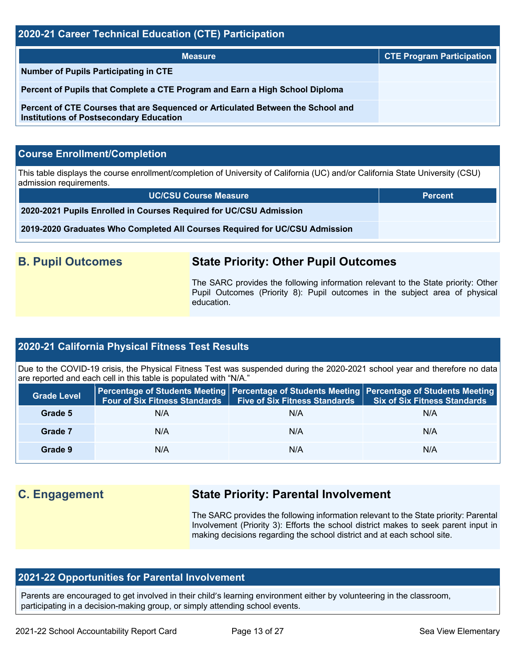| 2020-21 Career Technical Education (CTE) Participation                                                                            |                                  |  |  |  |  |
|-----------------------------------------------------------------------------------------------------------------------------------|----------------------------------|--|--|--|--|
| <b>Measure</b>                                                                                                                    | <b>CTE Program Participation</b> |  |  |  |  |
| <b>Number of Pupils Participating in CTE</b>                                                                                      |                                  |  |  |  |  |
| Percent of Pupils that Complete a CTE Program and Earn a High School Diploma                                                      |                                  |  |  |  |  |
| Percent of CTE Courses that are Sequenced or Articulated Between the School and<br><b>Institutions of Postsecondary Education</b> |                                  |  |  |  |  |

## **Course Enrollment/Completion**

This table displays the course enrollment/completion of University of California (UC) and/or California State University (CSU) admission requirements.

| <b>UC/CSU Course Measure</b>                                                | <b>Percent</b> |
|-----------------------------------------------------------------------------|----------------|
| 2020-2021 Pupils Enrolled in Courses Required for UC/CSU Admission          |                |
| 2019-2020 Graduates Who Completed All Courses Required for UC/CSU Admission |                |

## **B. Pupil Outcomes State Priority: Other Pupil Outcomes**

The SARC provides the following information relevant to the State priority: Other Pupil Outcomes (Priority 8): Pupil outcomes in the subject area of physical education.

### **2020-21 California Physical Fitness Test Results**

Due to the COVID-19 crisis, the Physical Fitness Test was suspended during the 2020-2021 school year and therefore no data are reported and each cell in this table is populated with "N/A."

| <b>Grade Level</b> | <b>Four of Six Fitness Standards</b> | <b>Five of Six Fitness Standards</b> | Percentage of Students Meeting   Percentage of Students Meeting   Percentage of Students Meeting<br>Six of Six Fitness Standards |
|--------------------|--------------------------------------|--------------------------------------|----------------------------------------------------------------------------------------------------------------------------------|
| Grade 5            | N/A                                  | N/A                                  | N/A                                                                                                                              |
| Grade 7            | N/A                                  | N/A                                  | N/A                                                                                                                              |
| Grade 9            | N/A                                  | N/A                                  | N/A                                                                                                                              |

## **C. Engagement State Priority: Parental Involvement**

The SARC provides the following information relevant to the State priority: Parental Involvement (Priority 3): Efforts the school district makes to seek parent input in making decisions regarding the school district and at each school site.

## **2021-22 Opportunities for Parental Involvement**

Parents are encouraged to get involved in their child's learning environment either by volunteering in the classroom, participating in a decision-making group, or simply attending school events.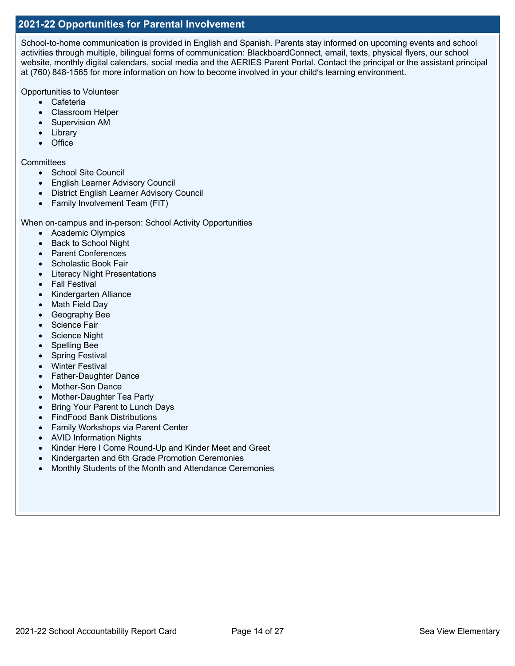### **2021-22 Opportunities for Parental Involvement**

School-to-home communication is provided in English and Spanish. Parents stay informed on upcoming events and school activities through multiple, bilingual forms of communication: BlackboardConnect, email, texts, physical flyers, our school website, monthly digital calendars, social media and the AERIES Parent Portal. Contact the principal or the assistant principal at (760) 848-1565 for more information on how to become involved in your child's learning environment.

Opportunities to Volunteer

- Cafeteria
- Classroom Helper
- Supervision AM
- Library
- Office

### **Committees**

- School Site Council
- English Learner Advisory Council
- District English Learner Advisory Council
- Family Involvement Team (FIT)

When on-campus and in-person: School Activity Opportunities

- Academic Olympics
- Back to School Night
- Parent Conferences
- Scholastic Book Fair
- Literacy Night Presentations
- Fall Festival
- Kindergarten Alliance
- Math Field Day
- Geography Bee
- Science Fair
- Science Night
- Spelling Bee
- Spring Festival
- Winter Festival
- Father-Daughter Dance
- Mother-Son Dance
- Mother-Daughter Tea Party
- Bring Your Parent to Lunch Days
- FindFood Bank Distributions
- Family Workshops via Parent Center
- AVID Information Nights
- Kinder Here I Come Round-Up and Kinder Meet and Greet
- Kindergarten and 6th Grade Promotion Ceremonies
- Monthly Students of the Month and Attendance Ceremonies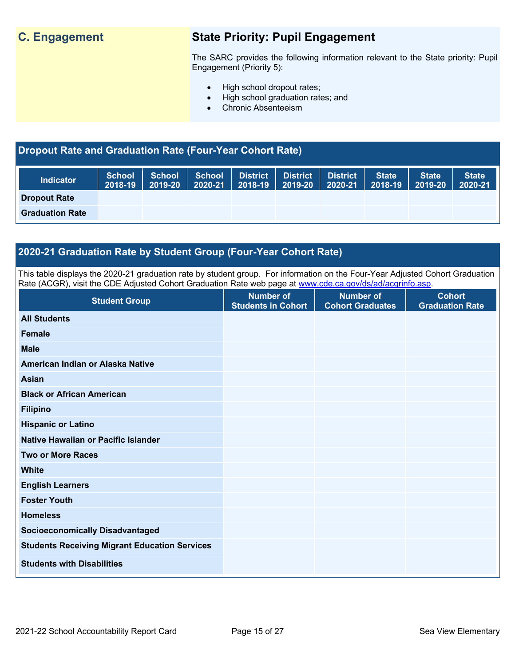## **C. Engagement State Priority: Pupil Engagement**

The SARC provides the following information relevant to the State priority: Pupil Engagement (Priority 5):

- High school dropout rates;
- High school graduation rates; and
- Chronic Absenteeism

## **Dropout Rate and Graduation Rate (Four-Year Cohort Rate)**

| <b>Indicator</b>       | <b>School</b><br>2018-19 | $2019 - 20$ 2020-21 | School   School   District   District | $\vert$ 2018-19 $\vert$ 2019-20 $\vert$ | <b>District</b><br>2020-21 | <b>State</b><br>$\blacksquare$ 2018-19 | <b>State</b><br>2019-20 | State <sup>1</sup><br>2020-21 |
|------------------------|--------------------------|---------------------|---------------------------------------|-----------------------------------------|----------------------------|----------------------------------------|-------------------------|-------------------------------|
| <b>Dropout Rate</b>    |                          |                     |                                       |                                         |                            |                                        |                         |                               |
| <b>Graduation Rate</b> |                          |                     |                                       |                                         |                            |                                        |                         |                               |

## **2020-21 Graduation Rate by Student Group (Four-Year Cohort Rate)**

This table displays the 2020-21 graduation rate by student group. For information on the Four-Year Adjusted Cohort Graduation Rate (ACGR), visit the CDE Adjusted Cohort Graduation Rate web page at www.cde.ca.gov/ds/ad/acgrinfo.asp.

| <b>Student Group</b>                                 | <b>Number of</b><br><b>Students in Cohort</b> | <b>Number of</b><br><b>Cohort Graduates</b> | <b>Cohort</b><br><b>Graduation Rate</b> |
|------------------------------------------------------|-----------------------------------------------|---------------------------------------------|-----------------------------------------|
| <b>All Students</b>                                  |                                               |                                             |                                         |
| <b>Female</b>                                        |                                               |                                             |                                         |
| <b>Male</b>                                          |                                               |                                             |                                         |
| American Indian or Alaska Native                     |                                               |                                             |                                         |
| <b>Asian</b>                                         |                                               |                                             |                                         |
| <b>Black or African American</b>                     |                                               |                                             |                                         |
| <b>Filipino</b>                                      |                                               |                                             |                                         |
| <b>Hispanic or Latino</b>                            |                                               |                                             |                                         |
| Native Hawaiian or Pacific Islander                  |                                               |                                             |                                         |
| <b>Two or More Races</b>                             |                                               |                                             |                                         |
| White                                                |                                               |                                             |                                         |
| <b>English Learners</b>                              |                                               |                                             |                                         |
| <b>Foster Youth</b>                                  |                                               |                                             |                                         |
| <b>Homeless</b>                                      |                                               |                                             |                                         |
| <b>Socioeconomically Disadvantaged</b>               |                                               |                                             |                                         |
| <b>Students Receiving Migrant Education Services</b> |                                               |                                             |                                         |
| <b>Students with Disabilities</b>                    |                                               |                                             |                                         |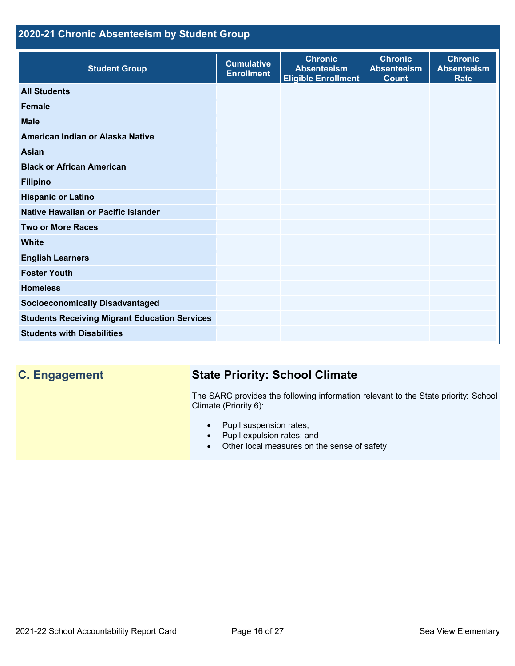## **2020-21 Chronic Absenteeism by Student Group**

| <b>Student Group</b>                                 | <b>Cumulative</b><br><b>Enrollment</b> | <b>Chronic</b><br><b>Absenteeism</b><br><b>Eligible Enrollment</b> | <b>Chronic</b><br><b>Absenteeism</b><br><b>Count</b> | <b>Chronic</b><br><b>Absenteeism</b><br><b>Rate</b> |
|------------------------------------------------------|----------------------------------------|--------------------------------------------------------------------|------------------------------------------------------|-----------------------------------------------------|
| <b>All Students</b>                                  |                                        |                                                                    |                                                      |                                                     |
| <b>Female</b>                                        |                                        |                                                                    |                                                      |                                                     |
| <b>Male</b>                                          |                                        |                                                                    |                                                      |                                                     |
| American Indian or Alaska Native                     |                                        |                                                                    |                                                      |                                                     |
| <b>Asian</b>                                         |                                        |                                                                    |                                                      |                                                     |
| <b>Black or African American</b>                     |                                        |                                                                    |                                                      |                                                     |
| <b>Filipino</b>                                      |                                        |                                                                    |                                                      |                                                     |
| <b>Hispanic or Latino</b>                            |                                        |                                                                    |                                                      |                                                     |
| Native Hawaiian or Pacific Islander                  |                                        |                                                                    |                                                      |                                                     |
| <b>Two or More Races</b>                             |                                        |                                                                    |                                                      |                                                     |
| <b>White</b>                                         |                                        |                                                                    |                                                      |                                                     |
| <b>English Learners</b>                              |                                        |                                                                    |                                                      |                                                     |
| <b>Foster Youth</b>                                  |                                        |                                                                    |                                                      |                                                     |
| <b>Homeless</b>                                      |                                        |                                                                    |                                                      |                                                     |
| <b>Socioeconomically Disadvantaged</b>               |                                        |                                                                    |                                                      |                                                     |
| <b>Students Receiving Migrant Education Services</b> |                                        |                                                                    |                                                      |                                                     |
| <b>Students with Disabilities</b>                    |                                        |                                                                    |                                                      |                                                     |

## **C. Engagement State Priority: School Climate**

The SARC provides the following information relevant to the State priority: School Climate (Priority 6):

- Pupil suspension rates;
- Pupil expulsion rates; and
- Other local measures on the sense of safety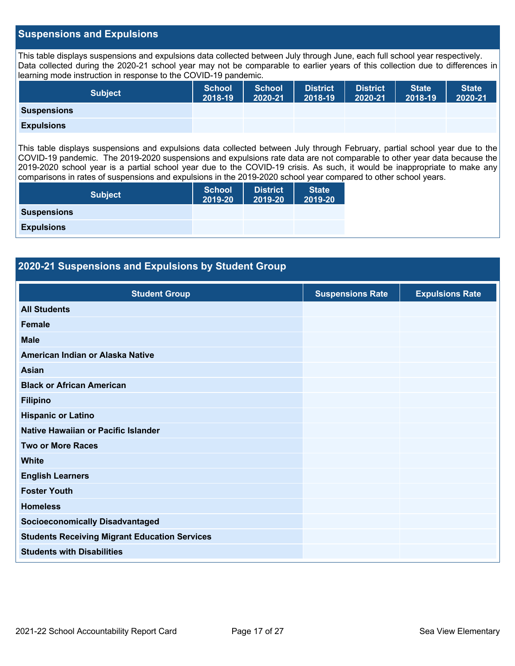### **Suspensions and Expulsions**

This table displays suspensions and expulsions data collected between July through June, each full school year respectively. Data collected during the 2020-21 school year may not be comparable to earlier years of this collection due to differences in learning mode instruction in response to the COVID-19 pandemic.

| <b>Subject</b>     | School<br>2018-19 | <b>School</b><br>2020-21 | <b>District</b><br>2018-19 | <b>District</b><br>2020-21 | <b>State</b><br>2018-19 | <b>State</b><br>2020-21 |
|--------------------|-------------------|--------------------------|----------------------------|----------------------------|-------------------------|-------------------------|
| <b>Suspensions</b> |                   |                          |                            |                            |                         |                         |
| <b>Expulsions</b>  |                   |                          |                            |                            |                         |                         |

This table displays suspensions and expulsions data collected between July through February, partial school year due to the COVID-19 pandemic. The 2019-2020 suspensions and expulsions rate data are not comparable to other year data because the 2019-2020 school year is a partial school year due to the COVID-19 crisis. As such, it would be inappropriate to make any comparisons in rates of suspensions and expulsions in the 2019-2020 school year compared to other school years.

| <b>Subject</b>     | <b>School</b><br>2019-20 | <b>District</b><br>2019-20 | <b>State</b><br>2019-20 |
|--------------------|--------------------------|----------------------------|-------------------------|
| <b>Suspensions</b> |                          |                            |                         |
| <b>Expulsions</b>  |                          |                            |                         |

| <b>Student Group</b>                   | <b>Suspensions Rate</b> | <b>Expulsions Rate</b> |
|----------------------------------------|-------------------------|------------------------|
| <b>All Students</b>                    |                         |                        |
| <b>Female</b>                          |                         |                        |
| <b>Male</b>                            |                         |                        |
| American Indian or Alaska Native       |                         |                        |
| <b>Asian</b>                           |                         |                        |
| <b>Black or African American</b>       |                         |                        |
| <b>Filipino</b>                        |                         |                        |
| <b>Hispanic or Latino</b>              |                         |                        |
| Native Hawaiian or Pacific Islander    |                         |                        |
| <b>Two or More Races</b>               |                         |                        |
| <b>White</b>                           |                         |                        |
| <b>English Learners</b>                |                         |                        |
| <b>Foster Youth</b>                    |                         |                        |
| <b>Homeless</b>                        |                         |                        |
| <b>Socioeconomically Disadvantaged</b> |                         |                        |

**Students with Disabilities** 

**Students Receiving Migrant Education Services**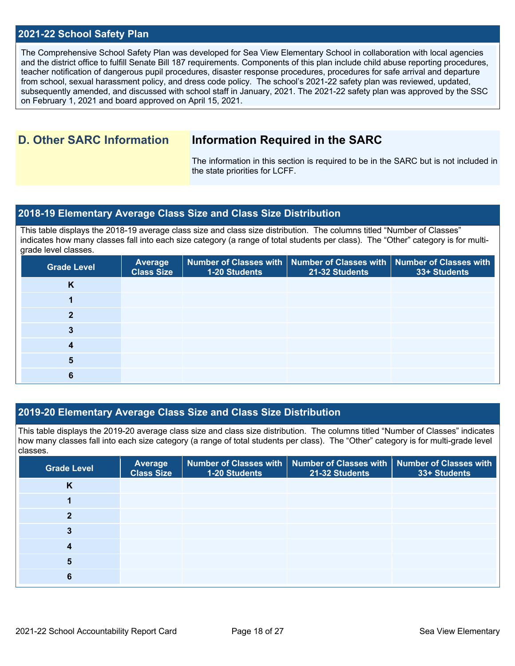### **2021-22 School Safety Plan**

The Comprehensive School Safety Plan was developed for Sea View Elementary School in collaboration with local agencies and the district office to fulfill Senate Bill 187 requirements. Components of this plan include child abuse reporting procedures, teacher notification of dangerous pupil procedures, disaster response procedures, procedures for safe arrival and departure from school, sexual harassment policy, and dress code policy. The school's 2021-22 safety plan was reviewed, updated, subsequently amended, and discussed with school staff in January, 2021. The 2021-22 safety plan was approved by the SSC on February 1, 2021 and board approved on April 15, 2021.

## **D. Other SARC Information Information Required in the SARC**

The information in this section is required to be in the SARC but is not included in the state priorities for LCFF.

### **2018-19 Elementary Average Class Size and Class Size Distribution**

This table displays the 2018-19 average class size and class size distribution. The columns titled "Number of Classes" indicates how many classes fall into each size category (a range of total students per class). The "Other" category is for multigrade level classes.

| <b>Grade Level</b> | <b>Average</b><br><b>Class Size</b> | Number of Classes with   Number of Classes with   Number of Classes with<br>1-20 Students | 21-32 Students | 33+ Students |
|--------------------|-------------------------------------|-------------------------------------------------------------------------------------------|----------------|--------------|
| K                  |                                     |                                                                                           |                |              |
|                    |                                     |                                                                                           |                |              |
|                    |                                     |                                                                                           |                |              |
|                    |                                     |                                                                                           |                |              |
|                    |                                     |                                                                                           |                |              |
|                    |                                     |                                                                                           |                |              |
|                    |                                     |                                                                                           |                |              |

### **2019-20 Elementary Average Class Size and Class Size Distribution**

This table displays the 2019-20 average class size and class size distribution. The columns titled "Number of Classes" indicates how many classes fall into each size category (a range of total students per class). The "Other" category is for multi-grade level classes.

| <b>Grade Level</b> | <b>Average</b><br><b>Class Size</b> | 1-20 Students | Number of Classes with   Number of Classes with   Number of Classes with<br>21-32 Students | 33+ Students |
|--------------------|-------------------------------------|---------------|--------------------------------------------------------------------------------------------|--------------|
| n                  |                                     |               |                                                                                            |              |
|                    |                                     |               |                                                                                            |              |
|                    |                                     |               |                                                                                            |              |
|                    |                                     |               |                                                                                            |              |
|                    |                                     |               |                                                                                            |              |
| 5                  |                                     |               |                                                                                            |              |
|                    |                                     |               |                                                                                            |              |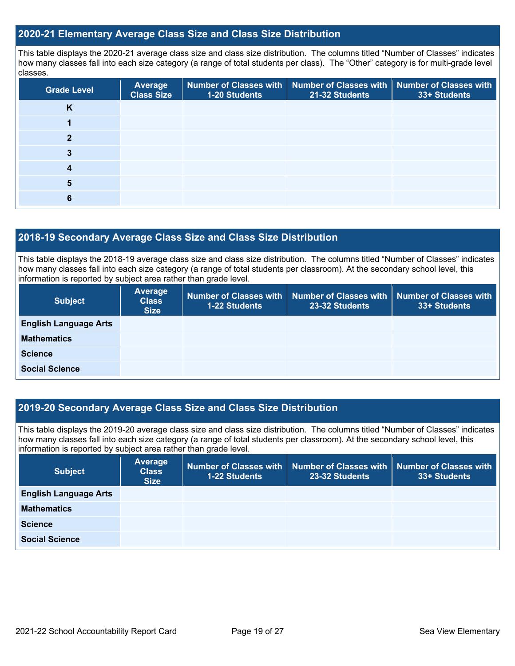### **2020-21 Elementary Average Class Size and Class Size Distribution**

This table displays the 2020-21 average class size and class size distribution. The columns titled "Number of Classes" indicates how many classes fall into each size category (a range of total students per class). The "Other" category is for multi-grade level classes.

| <b>Grade Level</b> | <b>Average</b><br><b>Class Size</b> | <b>1-20 Students</b> | Number of Classes with   Number of Classes with   Number of Classes with<br>21-32 Students | 33+ Students |
|--------------------|-------------------------------------|----------------------|--------------------------------------------------------------------------------------------|--------------|
| K                  |                                     |                      |                                                                                            |              |
|                    |                                     |                      |                                                                                            |              |
| າ                  |                                     |                      |                                                                                            |              |
| 3                  |                                     |                      |                                                                                            |              |
|                    |                                     |                      |                                                                                            |              |
| 5                  |                                     |                      |                                                                                            |              |
| 6                  |                                     |                      |                                                                                            |              |

## **2018-19 Secondary Average Class Size and Class Size Distribution**

This table displays the 2018-19 average class size and class size distribution. The columns titled "Number of Classes" indicates how many classes fall into each size category (a range of total students per classroom). At the secondary school level, this information is reported by subject area rather than grade level.

| <b>Subject</b>               | <b>Average</b><br><b>Class</b><br><b>Size</b> | 1-22 Students | 23-32 Students | Number of Classes with   Number of Classes with   Number of Classes with  <br>33+ Students |
|------------------------------|-----------------------------------------------|---------------|----------------|--------------------------------------------------------------------------------------------|
| <b>English Language Arts</b> |                                               |               |                |                                                                                            |
| <b>Mathematics</b>           |                                               |               |                |                                                                                            |
| <b>Science</b>               |                                               |               |                |                                                                                            |
| <b>Social Science</b>        |                                               |               |                |                                                                                            |

### **2019-20 Secondary Average Class Size and Class Size Distribution**

This table displays the 2019-20 average class size and class size distribution. The columns titled "Number of Classes" indicates how many classes fall into each size category (a range of total students per classroom). At the secondary school level, this information is reported by subject area rather than grade level.

| <b>Subject</b>               | <b>Average</b><br><b>Class</b><br><b>Size</b> | 1-22 Students | Number of Classes with   Number of Classes with  <br>23-32 Students | <b>Number of Classes with</b><br>33+ Students |
|------------------------------|-----------------------------------------------|---------------|---------------------------------------------------------------------|-----------------------------------------------|
| <b>English Language Arts</b> |                                               |               |                                                                     |                                               |
| <b>Mathematics</b>           |                                               |               |                                                                     |                                               |
| <b>Science</b>               |                                               |               |                                                                     |                                               |
| <b>Social Science</b>        |                                               |               |                                                                     |                                               |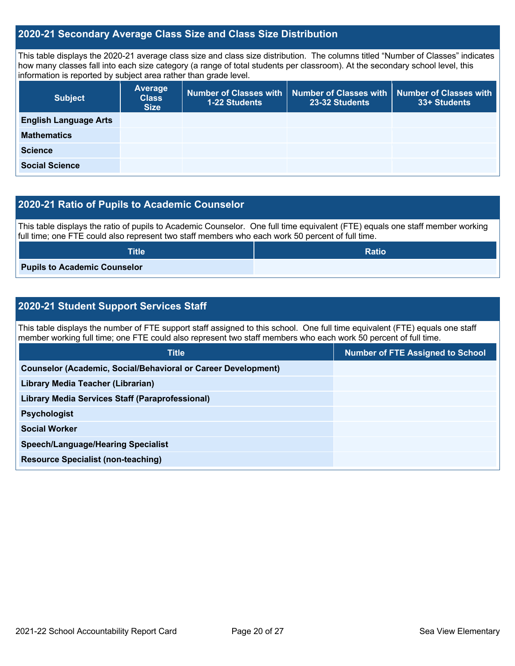### **2020-21 Secondary Average Class Size and Class Size Distribution**

This table displays the 2020-21 average class size and class size distribution. The columns titled "Number of Classes" indicates how many classes fall into each size category (a range of total students per classroom). At the secondary school level, this information is reported by subject area rather than grade level.

| <b>Subject</b>               | <b>Average</b><br><b>Class</b><br><b>Size</b> | 1-22 Students | Number of Classes with   Number of Classes with  <br>23-32 Students | <b>Number of Classes with</b><br>33+ Students |
|------------------------------|-----------------------------------------------|---------------|---------------------------------------------------------------------|-----------------------------------------------|
| <b>English Language Arts</b> |                                               |               |                                                                     |                                               |
| <b>Mathematics</b>           |                                               |               |                                                                     |                                               |
| <b>Science</b>               |                                               |               |                                                                     |                                               |
| <b>Social Science</b>        |                                               |               |                                                                     |                                               |

### **2020-21 Ratio of Pupils to Academic Counselor**

This table displays the ratio of pupils to Academic Counselor. One full time equivalent (FTE) equals one staff member working full time; one FTE could also represent two staff members who each work 50 percent of full time.

| <b>Title</b>                        | <b>Ratio</b> |
|-------------------------------------|--------------|
| <b>Pupils to Academic Counselor</b> |              |

## **2020-21 Student Support Services Staff**

This table displays the number of FTE support staff assigned to this school. One full time equivalent (FTE) equals one staff member working full time; one FTE could also represent two staff members who each work 50 percent of full time.

| <b>Title</b>                                                         | <b>Number of FTE Assigned to School</b> |
|----------------------------------------------------------------------|-----------------------------------------|
| <b>Counselor (Academic, Social/Behavioral or Career Development)</b> |                                         |
| Library Media Teacher (Librarian)                                    |                                         |
| <b>Library Media Services Staff (Paraprofessional)</b>               |                                         |
| <b>Psychologist</b>                                                  |                                         |
| <b>Social Worker</b>                                                 |                                         |
| <b>Speech/Language/Hearing Specialist</b>                            |                                         |
| <b>Resource Specialist (non-teaching)</b>                            |                                         |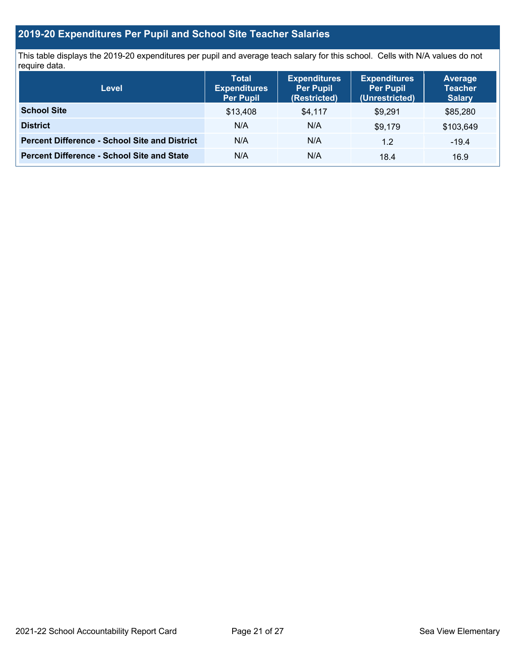## **2019-20 Expenditures Per Pupil and School Site Teacher Salaries**

This table displays the 2019-20 expenditures per pupil and average teach salary for this school. Cells with N/A values do not require data.

| <b>Level</b>                                         | <b>Total</b><br><b>Expenditures</b><br><b>Per Pupil</b> | <b>Expenditures</b><br><b>Per Pupil</b><br>(Restricted) | <b>Expenditures</b><br><b>Per Pupil</b><br>(Unrestricted) | <b>Average</b><br><b>Teacher</b><br><b>Salary</b> |
|------------------------------------------------------|---------------------------------------------------------|---------------------------------------------------------|-----------------------------------------------------------|---------------------------------------------------|
| <b>School Site</b>                                   | \$13,408                                                | \$4,117                                                 | \$9,291                                                   | \$85,280                                          |
| <b>District</b>                                      | N/A                                                     | N/A                                                     | \$9,179                                                   | \$103,649                                         |
| <b>Percent Difference - School Site and District</b> | N/A                                                     | N/A                                                     | 1.2                                                       | $-19.4$                                           |
| <b>Percent Difference - School Site and State</b>    | N/A                                                     | N/A                                                     | 18.4                                                      | 16.9                                              |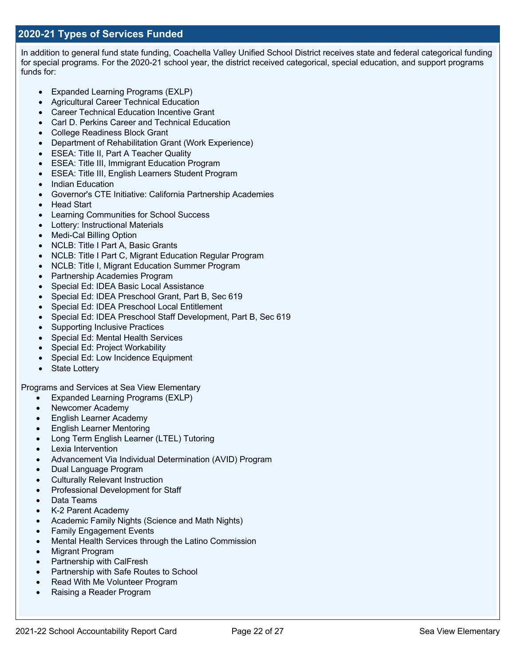In addition to general fund state funding, Coachella Valley Unified School District receives state and federal categorical funding for special programs. For the 2020-21 school year, the district received categorical, special education, and support programs funds for:

- Expanded Learning Programs (EXLP)
- Agricultural Career Technical Education
- Career Technical Education Incentive Grant
- Carl D. Perkins Career and Technical Education
- College Readiness Block Grant
- Department of Rehabilitation Grant (Work Experience)
- ESEA: Title II, Part A Teacher Quality
- ESEA: Title III, Immigrant Education Program
- ESEA: Title III, English Learners Student Program
- Indian Education
- Governor's CTE Initiative: California Partnership Academies
- Head Start
- Learning Communities for School Success
- Lottery: Instructional Materials
- Medi-Cal Billing Option
- NCLB: Title I Part A, Basic Grants
- NCLB: Title I Part C. Migrant Education Regular Program
- NCLB: Title I, Migrant Education Summer Program
- Partnership Academies Program
- Special Ed: IDEA Basic Local Assistance
- Special Ed: IDEA Preschool Grant, Part B, Sec 619
- Special Ed: IDEA Preschool Local Entitlement
- Special Ed: IDEA Preschool Staff Development, Part B, Sec 619
- Supporting Inclusive Practices
- Special Ed: Mental Health Services
- Special Ed: Project Workability
- Special Ed: Low Incidence Equipment
- State Lottery

Programs and Services at Sea View Elementary

- Expanded Learning Programs (EXLP)
- Newcomer Academy
- English Learner Academy
- English Learner Mentoring
- Long Term English Learner (LTEL) Tutoring
- Lexia Intervention
- Advancement Via Individual Determination (AVID) Program
- Dual Language Program
- Culturally Relevant Instruction
- Professional Development for Staff
- Data Teams
- K-2 Parent Academy
- Academic Family Nights (Science and Math Nights)
- Family Engagement Events
- Mental Health Services through the Latino Commission
- Migrant Program
- Partnership with CalFresh
- Partnership with Safe Routes to School
- Read With Me Volunteer Program
- Raising a Reader Program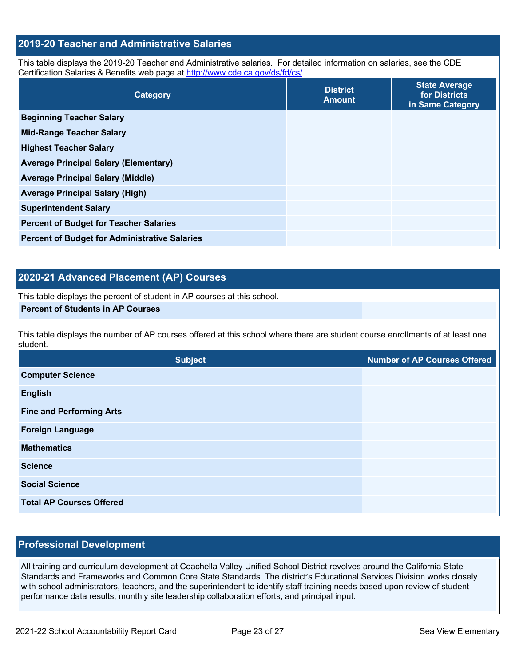### **2019-20 Teacher and Administrative Salaries**

This table displays the 2019-20 Teacher and Administrative salaries. For detailed information on salaries, see the CDE Certification Salaries & Benefits web page at http://www.cde.ca.gov/ds/fd/cs/.

| Category                                             | <b>District</b><br><b>Amount</b> | <b>State Average</b><br>for Districts<br>in Same Category |
|------------------------------------------------------|----------------------------------|-----------------------------------------------------------|
| <b>Beginning Teacher Salary</b>                      |                                  |                                                           |
| <b>Mid-Range Teacher Salary</b>                      |                                  |                                                           |
| <b>Highest Teacher Salary</b>                        |                                  |                                                           |
| <b>Average Principal Salary (Elementary)</b>         |                                  |                                                           |
| <b>Average Principal Salary (Middle)</b>             |                                  |                                                           |
| <b>Average Principal Salary (High)</b>               |                                  |                                                           |
| <b>Superintendent Salary</b>                         |                                  |                                                           |
| <b>Percent of Budget for Teacher Salaries</b>        |                                  |                                                           |
| <b>Percent of Budget for Administrative Salaries</b> |                                  |                                                           |

## **2020-21 Advanced Placement (AP) Courses**

This table displays the percent of student in AP courses at this school.

### **Percent of Students in AP Courses**

This table displays the number of AP courses offered at this school where there are student course enrollments of at least one student.

| <b>Subject</b>                  | <b>Number of AP Courses Offered</b> |
|---------------------------------|-------------------------------------|
| <b>Computer Science</b>         |                                     |
| <b>English</b>                  |                                     |
| <b>Fine and Performing Arts</b> |                                     |
| <b>Foreign Language</b>         |                                     |
| <b>Mathematics</b>              |                                     |
| <b>Science</b>                  |                                     |
| <b>Social Science</b>           |                                     |
| <b>Total AP Courses Offered</b> |                                     |

### **Professional Development**

All training and curriculum development at Coachella Valley Unified School District revolves around the California State Standards and Frameworks and Common Core State Standards. The district's Educational Services Division works closely with school administrators, teachers, and the superintendent to identify staff training needs based upon review of student performance data results, monthly site leadership collaboration efforts, and principal input.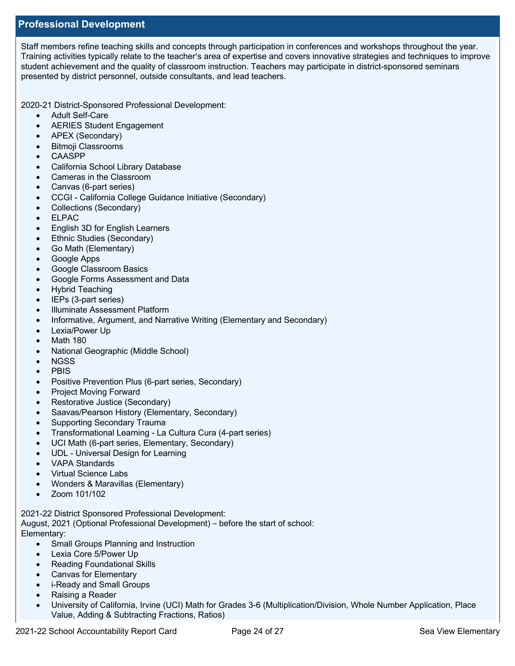### **Professional Development**

Staff members refine teaching skills and concepts through participation in conferences and workshops throughout the year. Training activities typically relate to the teacher's area of expertise and covers innovative strategies and techniques to improve student achievement and the quality of classroom instruction. Teachers may participate in district-sponsored seminars presented by district personnel, outside consultants, and lead teachers.

2020-21 District-Sponsored Professional Development:

- Adult Self-Care
- AERIES Student Engagement
- APEX (Secondary)
- Bitmoji Classrooms
- CAASPP
- California School Library Database
- Cameras in the Classroom
- Canvas (6-part series)
- CCGI California College Guidance Initiative (Secondary)
- Collections (Secondary)
- ELPAC
- English 3D for English Learners
- Ethnic Studies (Secondary)
- Go Math (Elementary)
- Google Apps
- Google Classroom Basics
- Google Forms Assessment and Data
- Hybrid Teaching
- IEPs (3-part series)
- Illuminate Assessment Platform
- Informative, Argument, and Narrative Writing (Elementary and Secondary)
- Lexia/Power Up
- Math 180
- National Geographic (Middle School)
- NGSS
- PBIS
- Positive Prevention Plus (6-part series, Secondary)
- Project Moving Forward
- Restorative Justice (Secondary)
- Saavas/Pearson History (Elementary, Secondary)
- Supporting Secondary Trauma
- Transformational Learning La Cultura Cura (4-part series)
- UCI Math (6-part series, Elementary, Secondary)
- UDL Universal Design for Learning
- VAPA Standards
- Virtual Science Labs
- Wonders & Maravillas (Elementary)
- Zoom 101/102

2021-22 District Sponsored Professional Development:

August, 2021 (Optional Professional Development) – before the start of school:

Elementary:

- Small Groups Planning and Instruction
- Lexia Core 5/Power Up
- Reading Foundational Skills
- Canvas for Elementary
- i-Ready and Small Groups
- Raising a Reader
- University of California, Irvine (UCI) Math for Grades 3-6 (Multiplication/Division, Whole Number Application, Place Value, Adding & Subtracting Fractions, Ratios)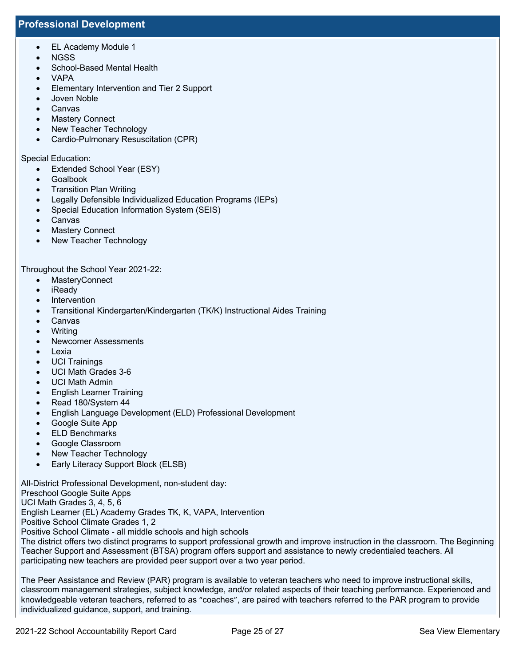### **Professional Development**

- EL Academy Module 1
- NGSS
- School-Based Mental Health
- VAPA
- Elementary Intervention and Tier 2 Support
- Joven Noble
- Canvas
- Mastery Connect
- New Teacher Technology
- Cardio-Pulmonary Resuscitation (CPR)

### Special Education:

- Extended School Year (ESY)
- Goalbook
- Transition Plan Writing
- Legally Defensible Individualized Education Programs (IEPs)
- Special Education Information System (SEIS)
- Canvas
- **Mastery Connect**
- New Teacher Technology

Throughout the School Year 2021-22:

- MasteryConnect
- iReady
- Intervention
- Transitional Kindergarten/Kindergarten (TK/K) Instructional Aides Training
- Canvas
- Writing
- Newcomer Assessments
- Lexia
- UCI Trainings
- UCI Math Grades 3-6
- UCI Math Admin
- English Learner Training
- Read 180/System 44
- English Language Development (ELD) Professional Development
- Google Suite App
- ELD Benchmarks
- Google Classroom
- New Teacher Technology
- Early Literacy Support Block (ELSB)

All-District Professional Development, non-student day:

Preschool Google Suite Apps

UCI Math Grades 3, 4, 5, 6

English Learner (EL) Academy Grades TK, K, VAPA, Intervention

Positive School Climate Grades 1, 2

Positive School Climate - all middle schools and high schools

The district offers two distinct programs to support professional growth and improve instruction in the classroom. The Beginning Teacher Support and Assessment (BTSA) program offers support and assistance to newly credentialed teachers. All participating new teachers are provided peer support over a two year period.

The Peer Assistance and Review (PAR) program is available to veteran teachers who need to improve instructional skills, classroom management strategies, subject knowledge, and/or related aspects of their teaching performance. Experienced and knowledgeable veteran teachers, referred to as "coaches", are paired with teachers referred to the PAR program to provide individualized guidance, support, and training.